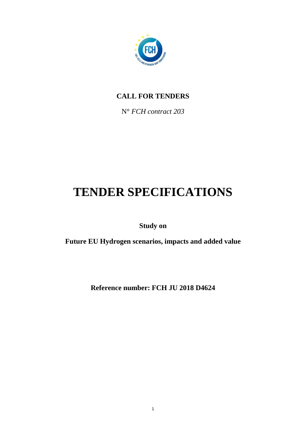

# **CALL FOR TENDERS**

N° *FCH contract 203*

# **TENDER SPECIFICATIONS**

**Study on**

**Future EU Hydrogen scenarios, impacts and added value**

**Reference number: FCH JU 2018 D4624**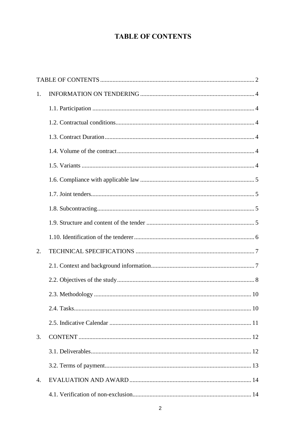# **TABLE OF CONTENTS**

<span id="page-1-0"></span>

| 1. |  |
|----|--|
|    |  |
|    |  |
|    |  |
|    |  |
|    |  |
|    |  |
|    |  |
|    |  |
|    |  |
|    |  |
| 2. |  |
|    |  |
|    |  |
|    |  |
|    |  |
|    |  |
| 3. |  |
|    |  |
|    |  |
| 4. |  |
|    |  |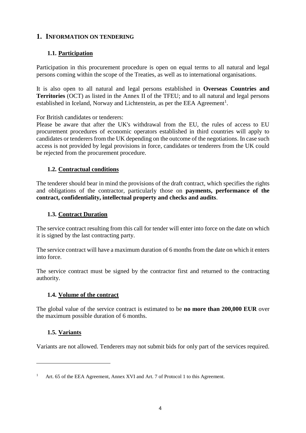#### <span id="page-3-0"></span>**1. INFORMATION ON TENDERING**

## <span id="page-3-1"></span>**1.1. Participation**

Participation in this procurement procedure is open on equal terms to all natural and legal persons coming within the scope of the Treaties, as well as to international organisations.

It is also open to all natural and legal persons established in **Overseas Countries and Territories** (OCT) as listed in the Annex II of the TFEU; and to all natural and legal persons established in Iceland, Norway and Lichtenstein, as per the EEA Agreement<sup>1</sup>.

For British candidates or tenderers:

Please be aware that after the UK's withdrawal from the EU, the rules of access to EU procurement procedures of economic operators established in third countries will apply to candidates or tenderers from the UK depending on the outcome of the negotiations. In case such access is not provided by legal provisions in force, candidates or tenderers from the UK could be rejected from the procurement procedure.

#### <span id="page-3-2"></span>**1.2. Contractual conditions**

The tenderer should bear in mind the provisions of the draft contract, which specifies the rights and obligations of the contractor, particularly those on **payments, performance of the contract, confidentiality, intellectual property and checks and audits**.

#### <span id="page-3-3"></span>**1.3. Contract Duration**

The service contract resulting from this call for tender will enter into force on the date on which it is signed by the last contracting party.

The service contract will have a maximum duration of 6 months from the date on which it enters into force.

The service contract must be signed by the contractor first and returned to the contracting authority.

#### <span id="page-3-4"></span>**1.4. Volume of the contract**

The global value of the service contract is estimated to be **no more than 200,000 EUR** over the maximum possible duration of 6 months.

# <span id="page-3-5"></span>**1.5. Variants**

 $\overline{a}$ 

Variants are not allowed. Tenderers may not submit bids for only part of the services required.

Art. 65 of the EEA Agreement, Annex XVI and Art. 7 of Protocol 1 to this Agreement.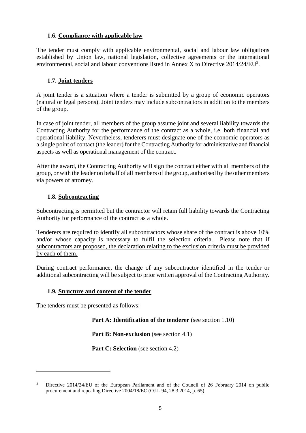#### <span id="page-4-0"></span>**1.6. Compliance with applicable law**

The tender must comply with applicable environmental, social and labour law obligations established by Union law, national legislation, collective agreements or the international environmental, social and labour conventions listed in Annex X to Directive  $2014/24/EU^2$ .

#### <span id="page-4-1"></span>**1.7. Joint tenders**

A joint tender is a situation where a tender is submitted by a group of economic operators (natural or legal persons). Joint tenders may include subcontractors in addition to the members of the group.

In case of joint tender, all members of the group assume joint and several liability towards the Contracting Authority for the performance of the contract as a whole, i.e. both financial and operational liability. Nevertheless, tenderers must designate one of the economic operators as a single point of contact (the leader) for the Contracting Authority for administrative and financial aspects as well as operational management of the contract.

After the award, the Contracting Authority will sign the contract either with all members of the group, or with the leader on behalf of all members of the group, authorised by the other members via powers of attorney.

#### <span id="page-4-2"></span>**1.8. Subcontracting**

Subcontracting is permitted but the contractor will retain full liability towards the Contracting Authority for performance of the contract as a whole.

Tenderers are required to identify all subcontractors whose share of the contract is above 10% and/or whose capacity is necessary to fulfil the selection criteria. Please note that if subcontractors are proposed, the declaration relating to the exclusion criteria must be provided by each of them.

During contract performance, the change of any subcontractor identified in the tender or additional subcontracting will be subject to prior written approval of the Contracting Authority.

#### <span id="page-4-3"></span>**1.9. Structure and content of the tender**

The tenders must be presented as follows:

 $\overline{a}$ 

#### **Part A: Identification of the tenderer** (see section 1.10)

**Part B: Non-exclusion** (see section 4.1)

**Part C: Selection** (see section 4.2)

<sup>2</sup> Directive 2014/24/EU of the European Parliament and of the Council of 26 February 2014 on public procurement and repealing Directive 2004/18/EC (OJ L 94, 28.3.2014, p. 65).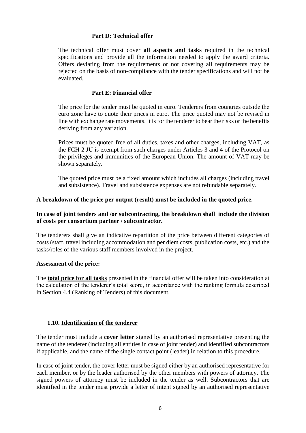#### **Part D: Technical offer**

The technical offer must cover **all aspects and tasks** required in the technical specifications and provide all the information needed to apply the award criteria. Offers deviating from the requirements or not covering all requirements may be rejected on the basis of non-compliance with the tender specifications and will not be evaluated.

#### **Part E: Financial offer**

The price for the tender must be quoted in euro. Tenderers from countries outside the euro zone have to quote their prices in euro. The price quoted may not be revised in line with exchange rate movements. It is for the tenderer to bear the risks or the benefits deriving from any variation.

Prices must be quoted free of all duties, taxes and other charges, including VAT, as the FCH 2 JU is exempt from such charges under Articles 3 and 4 of the Protocol on the privileges and immunities of the European Union. The amount of VAT may be shown separately.

The quoted price must be a fixed amount which includes all charges (including travel and subsistence). Travel and subsistence expenses are not refundable separately.

#### **A breakdown of the price per output (result) must be included in the quoted price.**

#### **In case of joint tenders and /or subcontracting, the breakdown shall include the division of costs per consortium partner / subcontractor.**

The tenderers shall give an indicative repartition of the price between different categories of costs (staff, travel including accommodation and per diem costs, publication costs, etc.) and the tasks/roles of the various staff members involved in the project.

#### **Assessment of the price:**

The **total price for all tasks** presented in the financial offer will be taken into consideration at the calculation of the tenderer's total score, in accordance with the ranking formula described in Section 4.4 (Ranking of Tenders) of this document.

#### <span id="page-5-0"></span>**1.10. Identification of the tenderer**

The tender must include a **cover letter** signed by an authorised representative presenting the name of the tenderer (including all entities in case of joint tender) and identified subcontractors if applicable, and the name of the single contact point (leader) in relation to this procedure.

In case of joint tender, the cover letter must be signed either by an authorised representative for each member, or by the leader authorised by the other members with powers of attorney. The signed powers of attorney must be included in the tender as well. Subcontractors that are identified in the tender must provide a letter of intent signed by an authorised representative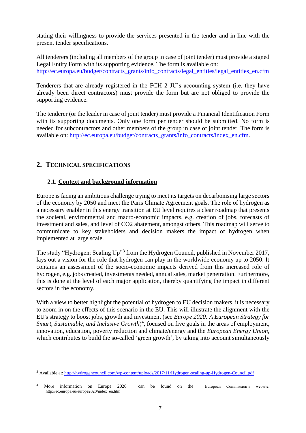stating their willingness to provide the services presented in the tender and in line with the present tender specifications.

All tenderers (including all members of the group in case of joint tender) must provide a signed Legal Entity Form with its supporting evidence. The form is available on: [http://ec.europa.eu/budget/contracts\\_grants/info\\_contracts/legal\\_entities/legal\\_entities\\_en.cfm](http://ec.europa.eu/budget/contracts_grants/info_contracts/legal_entities/legal_entities_en.cfm)

Tenderers that are already registered in the FCH 2 JU's accounting system (i.e. they have already been direct contractors) must provide the form but are not obliged to provide the supporting evidence.

The tenderer (or the leader in case of joint tender) must provide a Financial Identification Form with its supporting documents. Only one form per tender should be submitted. No form is needed for subcontractors and other members of the group in case of joint tender. The form is available on: [http://ec.europa.eu/budget/contracts\\_grants/info\\_contracts/index\\_en.cfm.](http://ec.europa.eu/budget/contracts_grants/info_contracts/index_en.cfm)

# <span id="page-6-0"></span>**2. TECHNICAL SPECIFICATIONS**

 $\overline{a}$ 

# <span id="page-6-1"></span>**2.1. Context and background information**

Europe is facing an ambitious challenge trying to meet its targets on decarbonising large sectors of the economy by 2050 and meet the Paris Climate Agreement goals. The role of hydrogen as a necessary enabler in this energy transition at EU level requires a clear roadmap that presents the societal, environmental and macro-economic impacts, e.g. creation of jobs, forecasts of investment and sales, and level of CO2 abatement, amongst others. This roadmap will serve to communicate to key stakeholders and decision makers the impact of hydrogen when implemented at large scale.

The study "Hydrogen: Scaling Up"<sup>3</sup> from the Hydrogen Council, published in November 2017, lays out a vision for the role that hydrogen can play in the worldwide economy up to 2050. It contains an assessment of the socio-economic impacts derived from this increased role of hydrogen, e.g. jobs created, investments needed, annual sales, market penetration. Furthermore, this is done at the level of each major application, thereby quantifying the impact in different sectors in the economy.

With a view to better highlight the potential of hydrogen to EU decision makers, it is necessary to zoom in on the effects of this scenario in the EU. This will illustrate the alignment with the EU's strategy to boost jobs, growth and investment (see *Europe 2020: A European Strategy for*  Smart, Sustainable, and Inclusive Growth)<sup>4</sup>, focused on five goals in the areas of employment, innovation, education, poverty reduction and climate/energy and the *European Energy Union,*  which contributes to build the so-called 'green growth', by taking into account simultaneously

<sup>3</sup> Available at:<http://hydrogencouncil.com/wp-content/uploads/2017/11/Hydrogen-scaling-up-Hydrogen-Council.pdf>

<sup>4</sup> More information on Europe 2020 can be found on the European Commission's website: http://ec.europa.eu/europe2020/index\_en.htm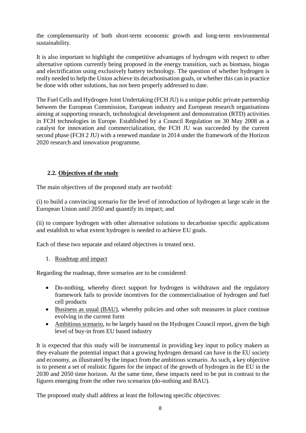the complementarity of both short-term economic growth and long-term environmental sustainability.

It is also important to highlight the competitive advantages of hydrogen with respect to other alternative options currently being proposed in the energy transition, such as biomass, biogas and electrification using exclusively battery technology. The question of whether hydrogen is really needed to help the Union achieve its decarbonisation goals, or whether this can in practice be done with other solutions, has not been properly addressed to date.

The Fuel Cells and Hydrogen Joint Undertaking (FCH JU) is a unique public private partnership between the European Commission, European industry and European research organisations aiming at supporting research, technological development and demonstration (RTD) activities in FCH technologies in Europe. Established by a Council Regulation on 30 May 2008 as a catalyst for innovation and commercialization, the FCH JU was succeeded by the current second phase (FCH 2 JU) with a renewed mandate in 2014 under the framework of the Horizon 2020 research and innovation programme.

# <span id="page-7-0"></span>**2.2. Objectives of the study**

The main objectives of the proposed study are twofold:

(i) to build a convincing scenario for the level of introduction of hydrogen at large scale in the European Union until 2050 and quantify its impact; and

(ii) to compare hydrogen with other alternative solutions to decarbonise specific applications and establish to what extent hydrogen is needed to achieve EU goals.

Each of these two separate and related objectives is treated next.

#### 1. Roadmap and impact

Regarding the roadmap, three scenarios are to be considered:

- Do-nothing, whereby direct support for hydrogen is withdrawn and the regulatory framework fails to provide incentives for the commercialisation of hydrogen and fuel cell products
- Business as usual (BAU), whereby policies and other soft measures in place continue evolving in the current form
- Ambitious scenario, to be largely based on the Hydrogen Council report, given the high level of buy-in from EU based industry

It is expected that this study will be instrumental in providing key input to policy makers as they evaluate the potential impact that a growing hydrogen demand can have in the EU society and economy, as illustrated by the impact from the ambitious scenario. As such, a key objective is to present a set of realistic figures for the impact of the growth of hydrogen in the EU in the 2030 and 2050 time horizon. At the same time, these impacts need to be put in contrast to the figures emerging from the other two scenarios (do-nothing and BAU).

The proposed study shall address at least the following specific objectives: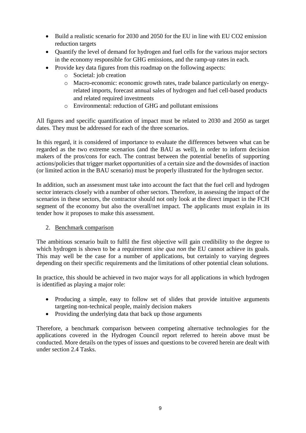- $\bullet$  Build a realistic scenario for 2030 and 2050 for the EU in line with EU CO2 emission reduction targets
- Quantify the level of demand for hydrogen and fuel cells for the various major sectors in the economy responsible for GHG emissions, and the ramp-up rates in each.
- Provide key data figures from this roadmap on the following aspects:
	- o Societal: job creation
	- o Macro-economic: economic growth rates, trade balance particularly on energyrelated imports, forecast annual sales of hydrogen and fuel cell-based products and related required investments
	- o Environmental: reduction of GHG and pollutant emissions

All figures and specific quantification of impact must be related to 2030 and 2050 as target dates. They must be addressed for each of the three scenarios.

In this regard, it is considered of importance to evaluate the differences between what can be regarded as the two extreme scenarios (and the BAU as well), in order to inform decision makers of the pros/cons for each. The contrast between the potential benefits of supporting actions/policies that trigger market opportunities of a certain size and the downsides of inaction (or limited action in the BAU scenario) must be properly illustrated for the hydrogen sector.

In addition, such an assessment must take into account the fact that the fuel cell and hydrogen sector interacts closely with a number of other sectors. Therefore, in assessing the impact of the scenarios in these sectors, the contractor should not only look at the direct impact in the FCH segment of the economy but also the overall/net impact. The applicants must explain in its tender how it proposes to make this assessment.

#### 2. Benchmark comparison

The ambitious scenario built to fulfil the first objective will gain credibility to the degree to which hydrogen is shown to be a requirement *sine qua non* the EU cannot achieve its goals. This may well be the case for a number of applications, but certainly to varying degrees depending on their specific requirements and the limitations of other potential clean solutions.

In practice, this should be achieved in two major ways for all applications in which hydrogen is identified as playing a major role:

- Producing a simple, easy to follow set of slides that provide intuitive arguments targeting non-technical people, mainly decision makers
- Providing the underlying data that back up those arguments

Therefore, a benchmark comparison between competing alternative technologies for the applications covered in the Hydrogen Council report referred to herein above must be conducted. More details on the types of issues and questions to be covered herein are dealt with under section 2.4 Tasks.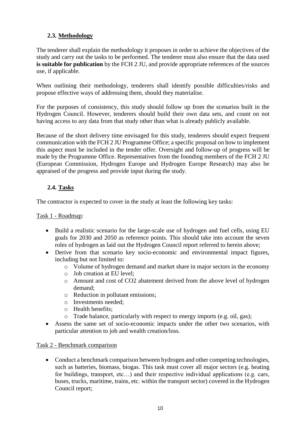# <span id="page-9-0"></span>**2.3. Methodology**

The tenderer shall explain the methodology it proposes in order to achieve the objectives of the study and carry out the tasks to be performed. The tenderer must also ensure that the data used **is suitable for publication** by the FCH 2 JU, and provide appropriate references of the sources use, if applicable.

When outlining their methodology, tenderers shall identify possible difficulties/risks and propose effective ways of addressing them, should they materialise.

For the purposes of consistency, this study should follow up from the scenarios built in the Hydrogen Council. However, tenderers should build their own data sets, and count on not having access to any data from that study other than what is already publicly available.

Because of the short delivery time envisaged for this study, tenderers should expect frequent communication with the FCH 2 JU Programme Office; a specific proposal on how to implement this aspect must be included in the tender offer. Oversight and follow-up of progress will be made by the Programme Office. Representatives from the founding members of the FCH 2 JU (European Commission, Hydrogen Europe and Hydrogen Europe Research) may also be appraised of the progress and provide input during the study.

# <span id="page-9-1"></span>**2.4. Tasks**

The contractor is expected to cover in the study at least the following key tasks:

#### Task 1 - Roadmap:

- Build a realistic scenario for the large-scale use of hydrogen and fuel cells, using EU goals for 2030 and 2050 as reference points. This should take into account the seven roles of hydrogen as laid out the Hydrogen Council report referred to herein above;
- Derive from that scenario key socio-economic and environmental impact figures, including but not limited to:
	- o Volume of hydrogen demand and market share in major sectors in the economy
	- o Job creation at EU level;
	- o Amount and cost of CO2 abatement derived from the above level of hydrogen demand;
	- o Reduction in pollutant emissions;
	- o Investments needed;
	- o Health benefits;
	- o Trade balance, particularly with respect to energy imports (e.g. oil, gas);
- Assess the same set of socio-economic impacts under the other two scenarios, with particular attention to job and wealth creation/loss.

#### Task 2 - Benchmark comparison

• Conduct a benchmark comparison between hydrogen and other competing technologies, such as batteries, biomass, biogas. This task must cover all major sectors (e.g. heating for buildings, transport, etc...) and their respective individual applications (e.g. cars, buses, trucks, maritime, trains, etc. within the transport sector) covered in the Hydrogen Council report;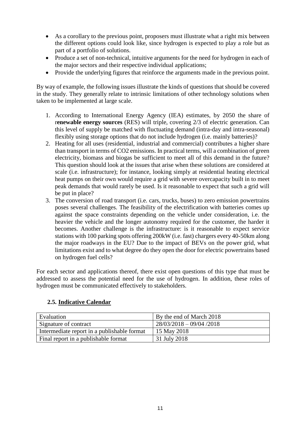- As a corollary to the previous point, proposers must illustrate what a right mix between the different options could look like, since hydrogen is expected to play a role but as part of a portfolio of solutions.
- Produce a set of non-technical, intuitive arguments for the need for hydrogen in each of the major sectors and their respective individual applications;
- Provide the underlying figures that reinforce the arguments made in the previous point.

By way of example, the following issues illustrate the kinds of questions that should be covered in the study. They generally relate to intrinsic limitations of other technology solutions when taken to be implemented at large scale.

- 1. According to International Energy Agency (IEA) estimates, by 2050 the share of r**enewable energy sources** (RES) will triple, covering 2/3 of electric generation. Can this level of supply be matched with fluctuating demand (intra-day and intra-seasonal) flexibly using storage options that do not include hydrogen (i.e. mainly batteries)?
- 2. Heating for all uses (residential, industrial and commercial) contributes a higher share than transport in terms of CO2 emissions. In practical terms, will a combination of green electricity, biomass and biogas be sufficient to meet all of this demand in the future? This question should look at the issues that arise when these solutions are considered at scale (i.e. infrastructure); for instance, looking simply at residential heating electrical heat pumps on their own would require a grid with severe overcapacity built in to meet peak demands that would rarely be used. Is it reasonable to expect that such a grid will be put in place?
- 3. The conversion of road transport (i.e. cars, trucks, buses) to zero emission powertrains poses several challenges. The feasibility of the electrification with batteries comes up against the space constraints depending on the vehicle under consideration, i.e. the heavier the vehicle and the longer autonomy required for the customer, the harder it becomes. Another challenge is the infrastructure: is it reasonable to expect service stations with 100 parking spots offering 200kW (i.e. fast) chargers every 40-50km along the major roadways in the EU? Due to the impact of BEVs on the power grid, what limitations exist and to what degree do they open the door for electric powertrains based on hydrogen fuel cells?

For each sector and applications thereof, there exist open questions of this type that must be addressed to assess the potential need for the use of hydrogen. In addition, these roles of hydrogen must be communicated effectively to stakeholders.

#### <span id="page-10-0"></span>**2.5. Indicative Calendar**

| Evaluation                                  | By the end of March 2018  |
|---------------------------------------------|---------------------------|
| Signature of contract                       | $28/03/2018 - 09/04/2018$ |
| Intermediate report in a publishable format | 15 May 2018               |
| Final report in a publishable format        | 31 July 2018              |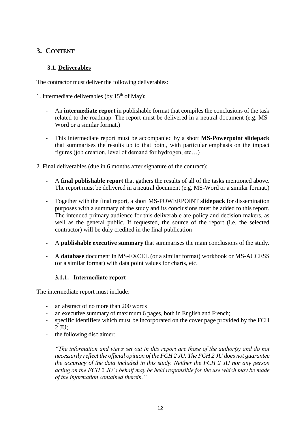# <span id="page-11-0"></span>**3. CONTENT**

## <span id="page-11-1"></span>**3.1. Deliverables**

The contractor must deliver the following deliverables:

1. Intermediate deliverables (by  $15<sup>th</sup>$  of May):

- An **intermediate report** in publishable format that compiles the conclusions of the task related to the roadmap. The report must be delivered in a neutral document (e.g. MS-Word or a similar format.)
- This intermediate report must be accompanied by a short **MS-Powerpoint slidepack** that summarises the results up to that point, with particular emphasis on the impact figures (job creation, level of demand for hydrogen, etc…)
- 2. Final deliverables (due in 6 months after signature of the contract):
	- A **final publishable report** that gathers the results of all of the tasks mentioned above. The report must be delivered in a neutral document (e.g. MS-Word or a similar format.)
	- Together with the final report, a short MS-POWERPOINT **slidepack** for dissemination purposes with a summary of the study and its conclusions must be added to this report. The intended primary audience for this deliverable are policy and decision makers, as well as the general public. If requested, the source of the report (i.e. the selected contractor) will be duly credited in the final publication
	- A **publishable executive summary** that summarises the main conclusions of the study.
	- A **database** document in MS-EXCEL (or a similar format) workbook or MS-ACCESS (or a similar format) with data point values for charts, etc.

#### **3.1.1. Intermediate report**

The intermediate report must include:

- an abstract of no more than 200 words
- an executive summary of maximum 6 pages, both in English and French;
- specific identifiers which must be incorporated on the cover page provided by the FCH  $2$  JU:
- the following disclaimer:

*"The information and views set out in this report are those of the author(s) and do not necessarily reflect the official opinion of the FCH 2 JU. The FCH 2 JU does not guarantee the accuracy of the data included in this study. Neither the FCH 2 JU nor any person acting on the FCH 2 JU's behalf may be held responsible for the use which may be made of the information contained therein."*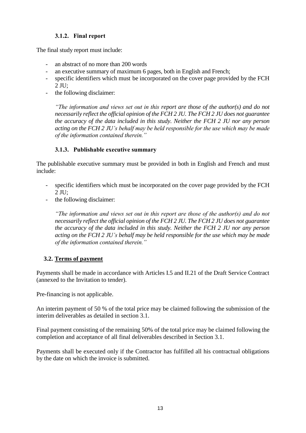# **3.1.2. Final report**

The final study report must include:

- an abstract of no more than 200 words
- an executive summary of maximum 6 pages, both in English and French;
- specific identifiers which must be incorporated on the cover page provided by the FCH  $2$  JU:
- the following disclaimer:

*"The information and views set out in this report are those of the author(s) and do not necessarily reflect the official opinion of the FCH 2 JU. The FCH 2 JU does not guarantee the accuracy of the data included in this study. Neither the FCH 2 JU nor any person acting on the FCH 2 JU's behalf may be held responsible for the use which may be made of the information contained therein."* 

#### **3.1.3. Publishable executive summary**

The publishable executive summary must be provided in both in English and French and must include:

- specific identifiers which must be incorporated on the cover page provided by the FCH 2 JU;
- the following disclaimer:

*"The information and views set out in this report are those of the author(s) and do not necessarily reflect the official opinion of the FCH 2 JU. The FCH 2 JU does not guarantee the accuracy of the data included in this study. Neither the FCH 2 JU nor any person acting on the FCH 2 JU's behalf may be held responsible for the use which may be made of the information contained therein."* 

#### <span id="page-12-0"></span>**3.2. Terms of payment**

Payments shall be made in accordance with Articles I.5 and II.21 of the Draft Service Contract (annexed to the Invitation to tender).

Pre-financing is not applicable.

An interim payment of 50 % of the total price may be claimed following the submission of the interim deliverables as detailed in section 3.1.

Final payment consisting of the remaining 50% of the total price may be claimed following the completion and acceptance of all final deliverables described in Section 3.1.

Payments shall be executed only if the Contractor has fulfilled all his contractual obligations by the date on which the invoice is submitted.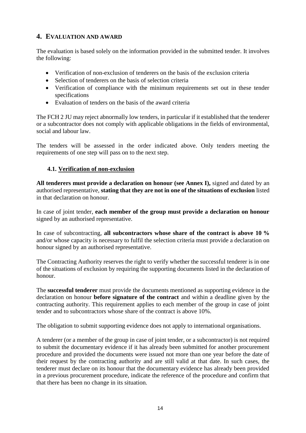# <span id="page-13-0"></span>**4. EVALUATION AND AWARD**

The evaluation is based solely on the information provided in the submitted tender. It involves the following:

- Verification of non-exclusion of tenderers on the basis of the exclusion criteria
- Selection of tenderers on the basis of selection criteria
- Verification of compliance with the minimum requirements set out in these tender specifications
- Evaluation of tenders on the basis of the award criteria

The FCH 2 JU may reject abnormally low tenders, in particular if it established that the tenderer or a subcontractor does not comply with applicable obligations in the fields of environmental, social and labour law.

The tenders will be assessed in the order indicated above. Only tenders meeting the requirements of one step will pass on to the next step.

#### <span id="page-13-1"></span>**4.1. Verification of non-exclusion**

**All tenderers must provide a declaration on honour (see Annex I),** signed and dated by an authorised representative, **stating that they are not in one of the situations of exclusion** listed in that declaration on honour.

In case of joint tender, **each member of the group must provide a declaration on honour** signed by an authorised representative.

In case of subcontracting, **all subcontractors whose share of the contract is above 10 %** and/or whose capacity is necessary to fulfil the selection criteria must provide a declaration on honour signed by an authorised representative.

The Contracting Authority reserves the right to verify whether the successful tenderer is in one of the situations of exclusion by requiring the supporting documents listed in the declaration of honour.

The **successful tenderer** must provide the documents mentioned as supporting evidence in the declaration on honour **before signature of the contract** and within a deadline given by the contracting authority. This requirement applies to each member of the group in case of joint tender and to subcontractors whose share of the contract is above 10%.

The obligation to submit supporting evidence does not apply to international organisations.

A tenderer (or a member of the group in case of joint tender, or a subcontractor) is not required to submit the documentary evidence if it has already been submitted for another procurement procedure and provided the documents were issued not more than one year before the date of their request by the contracting authority and are still valid at that date. In such cases, the tenderer must declare on its honour that the documentary evidence has already been provided in a previous procurement procedure, indicate the reference of the procedure and confirm that that there has been no change in its situation.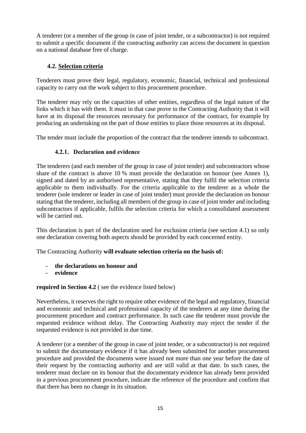A tenderer (or a member of the group in case of joint tender, or a subcontractor) is not required to submit a specific document if the contracting authority can access the document in question on a national database free of charge.

# <span id="page-14-0"></span>**4.2. Selection criteria**

Tenderers must prove their legal, regulatory, economic, financial, technical and professional capacity to carry out the work subject to this procurement procedure.

The tenderer may rely on the capacities of other entities, regardless of the legal nature of the links which it has with them. It must in that case prove to the Contracting Authority that it will have at its disposal the resources necessary for performance of the contract, for example by producing an undertaking on the part of those entities to place those resources at its disposal.

The tender must include the proportion of the contract that the tenderer intends to subcontract.

# **4.2.1. Declaration and evidence**

The tenderers (and each member of the group in case of joint tender) and subcontractors whose share of the contract is above 10 % must provide the declaration on honour (see Annex 1), signed and dated by an authorised representative, stating that they fulfil the selection criteria applicable to them individually. For the criteria applicable to the tenderer as a whole the tenderer (sole tenderer or leader in case of joint tender) must provide the declaration on honour stating that the tenderer, including all members of the group in case of joint tender and including subcontractors if applicable, fulfils the selection criteria for which a consolidated assessment will be carried out.

This declaration is part of the declaration used for exclusion criteria (see section 4.1) so only one declaration covering both aspects should be provided by each concerned entity.

The Contracting Authority **will evaluate selection criteria on the basis of:**

- **the declarations on honour and**
- **evidence**

# **required in Section 4.2** ( see the evidence listed below)

Nevertheless, it reserves the right to require other evidence of the legal and regulatory, financial and economic and technical and professional capacity of the tenderers at any time during the procurement procedure and contract performance. In such case the tenderer must provide the requested evidence without delay. The Contracting Authority may reject the tender if the requested evidence is not provided in due time.

A tenderer (or a member of the group in case of joint tender, or a subcontractor) is not required to submit the documentary evidence if it has already been submitted for another procurement procedure and provided the documents were issued not more than one year before the date of their request by the contracting authority and are still valid at that date. In such cases, the tenderer must declare on its honour that the documentary evidence has already been provided in a previous procurement procedure, indicate the reference of the procedure and confirm that that there has been no change in its situation.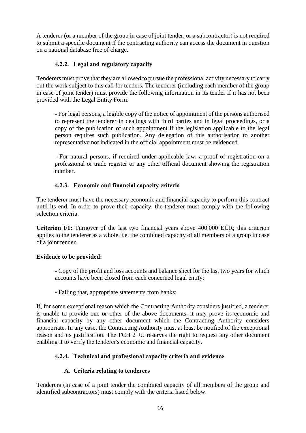A tenderer (or a member of the group in case of joint tender, or a subcontractor) is not required to submit a specific document if the contracting authority can access the document in question on a national database free of charge.

# **4.2.2. Legal and regulatory capacity**

Tenderers must prove that they are allowed to pursue the professional activity necessary to carry out the work subject to this call for tenders. The tenderer (including each member of the group in case of joint tender) must provide the following information in its tender if it has not been provided with the Legal Entity Form:

- For legal persons, a legible copy of the notice of appointment of the persons authorised to represent the tenderer in dealings with third parties and in legal proceedings, or a copy of the publication of such appointment if the legislation applicable to the legal person requires such publication. Any delegation of this authorisation to another representative not indicated in the official appointment must be evidenced.

- For natural persons, if required under applicable law, a proof of registration on a professional or trade register or any other official document showing the registration number.

#### **4.2.3. Economic and financial capacity criteria**

The tenderer must have the necessary economic and financial capacity to perform this contract until its end. In order to prove their capacity, the tenderer must comply with the following selection criteria.

**Criterion F1:** Turnover of the last two financial years above 400.000 EUR; this criterion applies to the tenderer as a whole, i.e. the combined capacity of all members of a group in case of a joint tender.

#### **Evidence to be provided:**

- Copy of the profit and loss accounts and balance sheet for the last two years for which accounts have been closed from each concerned legal entity;

- Failing that, appropriate statements from banks;

If, for some exceptional reason which the Contracting Authority considers justified, a tenderer is unable to provide one or other of the above documents, it may prove its economic and financial capacity by any other document which the Contracting Authority considers appropriate. In any case, the Contracting Authority must at least be notified of the exceptional reason and its justification. The FCH 2 JU reserves the right to request any other document enabling it to verify the tenderer's economic and financial capacity.

# **4.2.4. Technical and professional capacity criteria and evidence**

#### **A. Criteria relating to tenderers**

Tenderers (in case of a joint tender the combined capacity of all members of the group and identified subcontractors) must comply with the criteria listed below.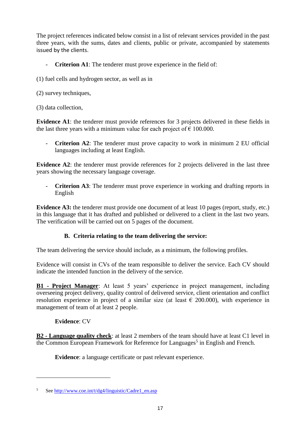The project references indicated below consist in a list of relevant services provided in the past three years, with the sums, dates and clients, public or private, accompanied by statements issued by the clients.

- **Criterion A1**: The tenderer must prove experience in the field of:
- (1) fuel cells and hydrogen sector, as well as in
- (2) survey techniques,
- (3) data collection,

**Evidence A1**: the tenderer must provide references for 3 projects delivered in these fields in the last three years with a minimum value for each project of  $\epsilon$  100.000.

- **Criterion A2**: The tenderer must prove capacity to work in minimum 2 EU official languages including at least English.

**Evidence A2**: the tenderer must provide references for 2 projects delivered in the last three years showing the necessary language coverage.

- **Criterion A3**: The tenderer must prove experience in working and drafting reports in English

**Evidence A3:** the tenderer must provide one document of at least 10 pages (report, study, etc.) in this language that it has drafted and published or delivered to a client in the last two years. The verification will be carried out on 5 pages of the document.

# **B. Criteria relating to the team delivering the service:**

The team delivering the service should include, as a minimum, the following profiles.

Evidence will consist in CVs of the team responsible to deliver the service. Each CV should indicate the intended function in the delivery of the service.

**B1 - Project Manager**: At least 5 years' experience in project management, including overseeing project delivery, quality control of delivered service, client orientation and conflict resolution experience in project of a similar size (at least  $\epsilon$  200.000), with experience in management of team of at least 2 people.

# **Evidence**: CV

 $\overline{a}$ 

**B2 - Language quality check**: at least 2 members of the team should have at least C1 level in the Common European Framework for Reference for Languages<sup>5</sup> in English and French.

**Evidence**: a language certificate or past relevant experience.

Se[e http://www.coe.int/t/dg4/linguistic/Cadre1\\_en.asp](http://www.coe.int/t/dg4/linguistic/Cadre1_en.asp)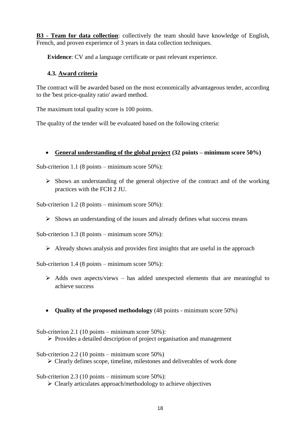**B3 - Team for data collection**: collectively the team should have knowledge of English, French, and proven experience of 3 years in data collection techniques.

**Evidence**: CV and a language certificate or past relevant experience.

#### <span id="page-17-0"></span>**4.3. Award criteria**

The contract will be awarded based on the most economically advantageous tender, according to the 'best price-quality ratio' award method.

The maximum total quality score is 100 points.

The quality of the tender will be evaluated based on the following criteria:

#### **General understanding of the global project (32 points – minimum score 50%)**

Sub-criterion 1.1 (8 points – minimum score 50%):

 $\triangleright$  Shows an understanding of the general objective of the contract and of the working practices with the FCH 2 JU.

Sub-criterion 1.2 (8 points – minimum score 50%):

 $\triangleright$  Shows an understanding of the issues and already defines what success means

Sub-criterion 1.3 (8 points – minimum score 50%):

 $\triangleright$  Already shows analysis and provides first insights that are useful in the approach

Sub-criterion 1.4 (8 points – minimum score 50%):

- $\triangleright$  Adds own aspects/views has added unexpected elements that are meaningful to achieve success
- **Quality of the proposed methodology** (48 points minimum score 50%)

Sub-criterion 2.1 (10 points – minimum score 50%):

- $\triangleright$  Provides a detailed description of project organisation and management
- Sub-criterion 2.2 (10 points minimum score 50%)

 $\triangleright$  Clearly defines scope, timeline, milestones and deliverables of work done

Sub-criterion 2.3 (10 points – minimum score 50%):

 $\triangleright$  Clearly articulates approach/methodology to achieve objectives